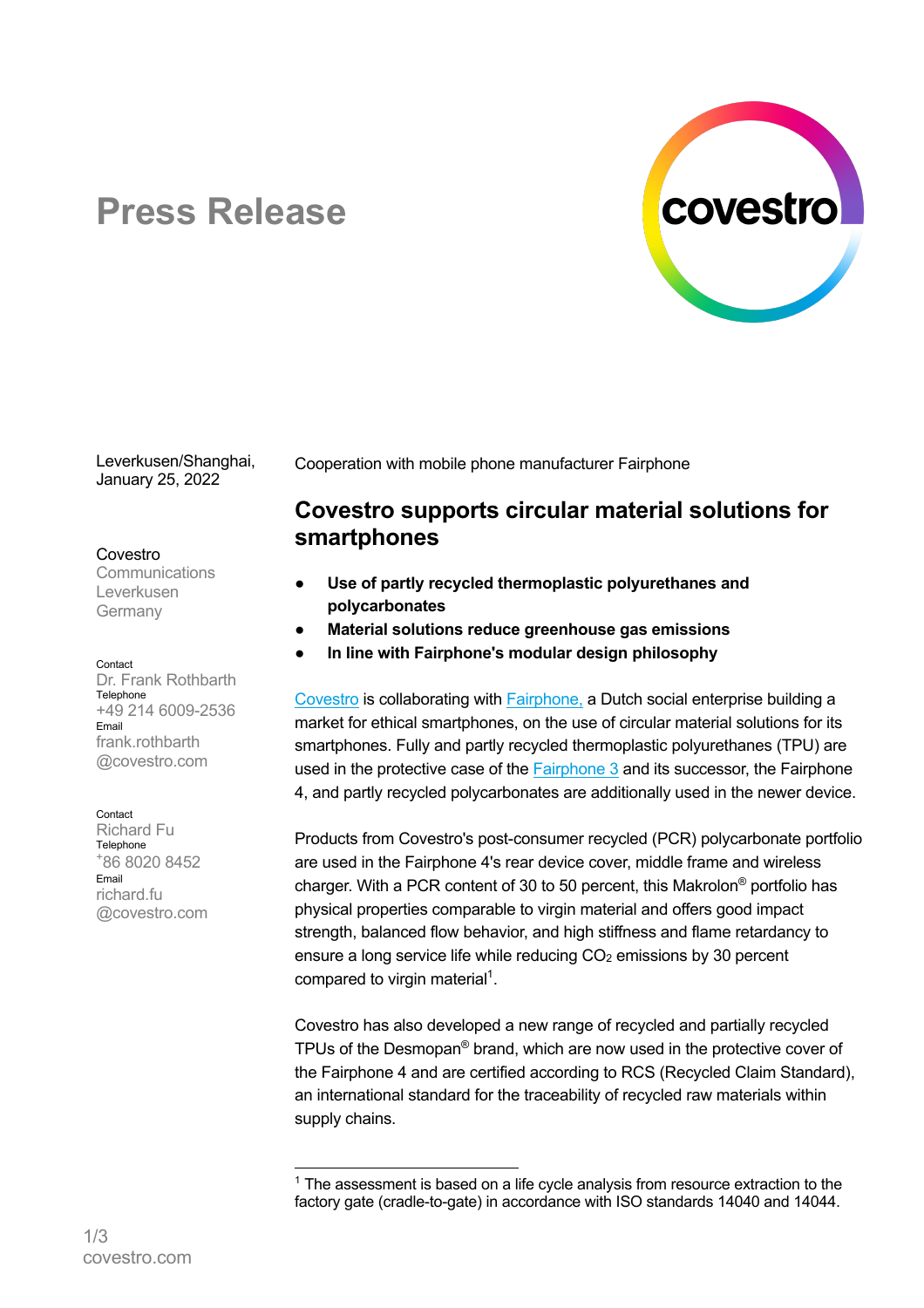

# **Press Release**

Leverkusen/Shanghai, January 25, 2022

#### Covestro

**Communications** Leverkusen Germany

Contact

Dr. Frank Rothbarth **Telephone** +49 214 6009-2536 Email frank rothbarth @covestro.com

#### Contact

Richard Fu Telephone + 86 8020 8452 Email richard.fu @covestro.com Cooperation with mobile phone manufacturer Fairphone

# **Covestro supports circular material solutions for smartphones**

- Use of partly recycled thermoplastic polyurethanes and **polycarbonates**
- **Material solutions reduce greenhouse gas emissions**
- **In line with Fairphone's modular design philosophy**

Covestro is collaborating with Fairphone, a Dutch social enterprise building a market for ethical smartphones, on the use of circular material solutions for its smartphones. Fully and partly recycled thermoplastic polyurethanes (TPU) are used in the protective case of the Fairphone 3 and its successor, the Fairphone 4, and partly recycled polycarbonates are additionally used in the newer device.

Products from Covestro's post-consumer recycled (PCR) polycarbonate portfolio are used in the Fairphone 4's rear device cover, middle frame and wireless charger. With a PCR content of 30 to 50 percent, this Makrolon® portfolio has physical properties comparable to virgin material and offers good impact strength, balanced flow behavior, and high stiffness and flame retardancy to ensure a long service life while reducing CO<sub>2</sub> emissions by 30 percent compared to virgin material<sup>1</sup>.

Covestro has also developed a new range of recycled and partially recycled TPUs of the Desmopan® brand, which are now used in the protective cover of the Fairphone 4 and are certified according to RCS (Recycled Claim Standard), an international standard for the traceability of recycled raw materials within supply chains.

 $1$  The assessment is based on a life cycle analysis from resource extraction to the factory gate (cradle-to-gate) in accordance with ISO standards 14040 and 14044.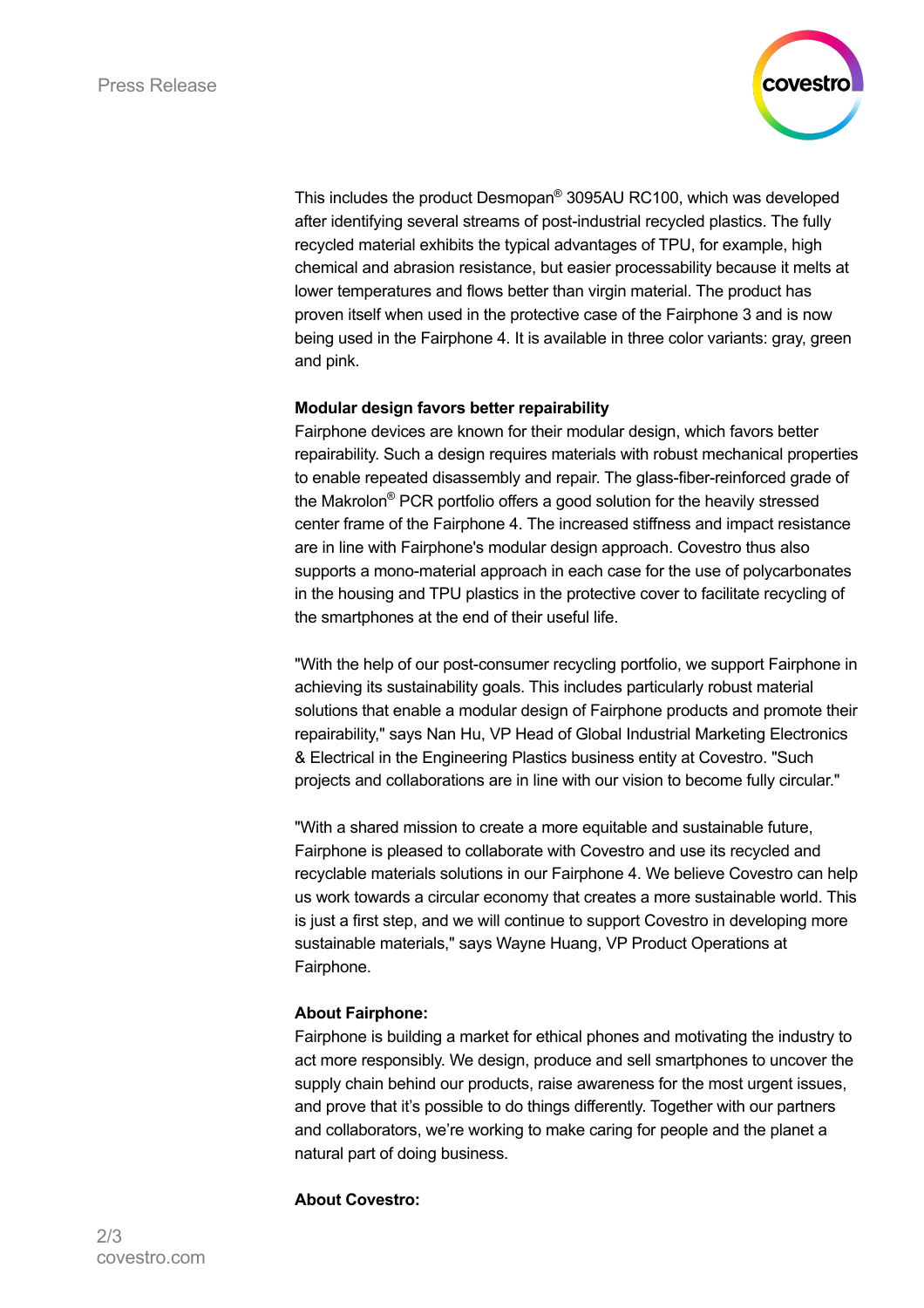

This includes the product Desmopan® 3095AU RC100, which was developed after identifying several streams of post-industrial recycled plastics. The fully recycled material exhibits the typical advantages of TPU, for example, high chemical and abrasion resistance, but easier processability because it melts at lower temperatures and flows better than virgin material. The product has proven itself when used in the protective case of the Fairphone 3 and is now being used in the Fairphone 4. It is available in three color variants: gray, green and pink.

# **Modular design favors better repairability**

Fairphone devices are known for their modular design, which favors better repairability. Such a design requires materials with robust mechanical properties to enable repeated disassembly and repair. The glass-fiber-reinforced grade of the Makrolon® PCR portfolio offers a good solution for the heavily stressed center frame of the Fairphone 4. The increased stiffness and impact resistance are in line with Fairphone's modular design approach. Covestro thus also supports a mono-material approach in each case for the use of polycarbonates in the housing and TPU plastics in the protective cover to facilitate recycling of the smartphones at the end of their useful life.

"With the help of our post-consumer recycling portfolio, we support Fairphone in achieving its sustainability goals. This includes particularly robust material solutions that enable a modular design of Fairphone products and promote their repairability," says Nan Hu, VP Head of Global Industrial Marketing Electronics & Electrical in the Engineering Plastics business entity at Covestro. "Such projects and collaborations are in line with our vision to become fully circular."

"With a shared mission to create a more equitable and sustainable future, Fairphone is pleased to collaborate with Covestro and use its recycled and recyclable materials solutions in our Fairphone 4. We believe Covestro can help us work towards a circular economy that creates a more sustainable world. This is just a first step, and we will continue to support Covestro in developing more sustainable materials," says Wayne Huang, VP Product Operations at Fairphone.

# **About Fairphone:**

Fairphone is building a market for ethical phones and motivating the industry to act more responsibly. We design, produce and sell smartphones to uncover the supply chain behind our products, raise awareness for the most urgent issues, and prove that it's possible to do things differently. Together with our partners and collaborators, we're working to make caring for people and the planet a natural part of doing business.

# **About Covestro:**